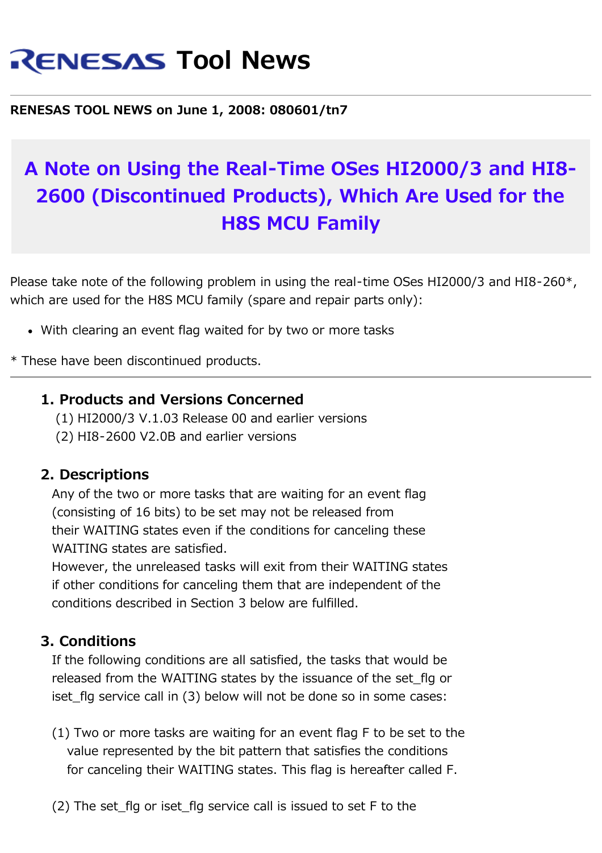# **RENESAS Tool News**

**RENESAS TOOL NEWS on June 1, 2008: 080601/tn7**

# **A Note on Using the Real-Time OSes HI2000/3 and HI8- 2600 (Discontinued Products), Which Are Used for the H8S MCU Family**

Please take note of the following problem in using the real-time OSes HI2000/3 and HI8-260<sup>\*</sup>, which are used for the H8S MCU family (spare and repair parts only):

With clearing an event flag waited for by two or more tasks

\* These have been discontinued products.

#### **1. Products and Versions Concerned**

 (1) HI2000/3 V.1.03 Release 00 and earlier versions (2) HI8-2600 V2.0B and earlier versions

#### **2. Descriptions**

 Any of the two or more tasks that are waiting for an event flag (consisting of 16 bits) to be set may not be released from their WAITING states even if the conditions for canceling these WAITING states are satisfied.

 However, the unreleased tasks will exit from their WAITING states if other conditions for canceling them that are independent of the conditions described in Section 3 below are fulfilled.

#### **3. Conditions**

 If the following conditions are all satisfied, the tasks that would be released from the WAITING states by the issuance of the set\_flg or iset flg service call in (3) below will not be done so in some cases:

- (1) Two or more tasks are waiting for an event flag F to be set to the value represented by the bit pattern that satisfies the conditions for canceling their WAITING states. This flag is hereafter called F.
- $(2)$  The set flg or iset flg service call is issued to set F to the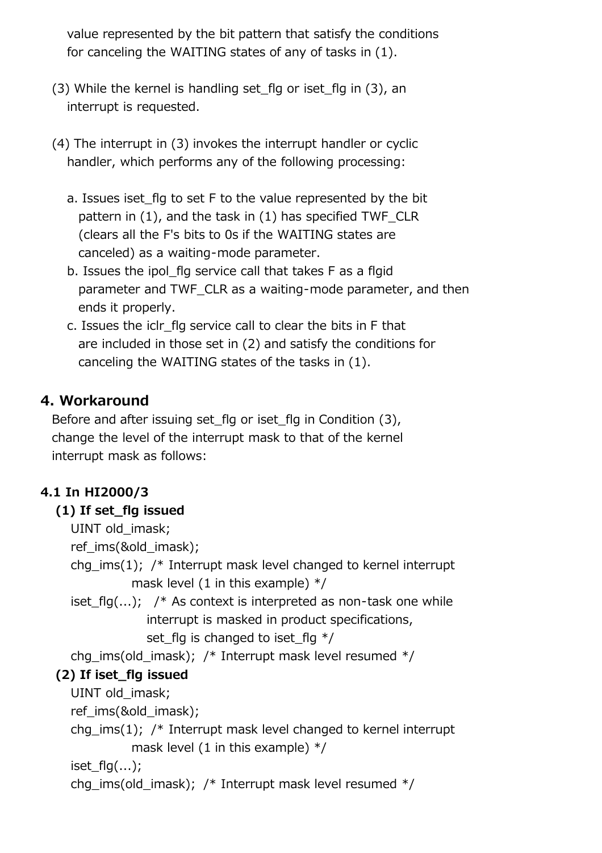value represented by the bit pattern that satisfy the conditions for canceling the WAITING states of any of tasks in (1).

- (3) While the kernel is handling set\_flg or iset\_flg in (3), an interrupt is requested.
- (4) The interrupt in (3) invokes the interrupt handler or cyclic handler, which performs any of the following processing:
	- a. Issues iset\_flg to set F to the value represented by the bit pattern in (1), and the task in (1) has specified TWF\_CLR (clears all the F's bits to 0s if the WAITING states are canceled) as a waiting-mode parameter.
	- b. Issues the ipol\_flg service call that takes F as a flgid parameter and TWF CLR as a waiting-mode parameter, and then ends it properly.
	- c. Issues the iclr\_flg service call to clear the bits in F that are included in those set in (2) and satisfy the conditions for canceling the WAITING states of the tasks in (1).

### **4. Workaround**

Before and after issuing set flg or iset flg in Condition (3), change the level of the interrupt mask to that of the kernel interrupt mask as follows:

#### **4.1 In HI2000/3**

#### **(1) If set\_flg issued**

```
UINT old imask;
```
ref\_ims(&old\_imask);

chg ims(1);  $\prime$ \* Interrupt mask level changed to kernel interrupt mask level (1 in this example)  $*/$ 

iset  $flg(...);$  /\* As context is interpreted as non-task one while interrupt is masked in product specifications, set flg is changed to iset flg  $*/$ 

chg\_ims(old\_imask); /\* Interrupt mask level resumed \*/

#### **(2) If iset\_flg issued**

UINT old imask;

ref\_ims(&old\_imask);

chg ims(1);  $\prime$ \* Interrupt mask level changed to kernel interrupt mask level (1 in this example)  $*/$ 

```
iset flg(...);
```
chg\_ims(old\_imask); /\* Interrupt mask level resumed \*/